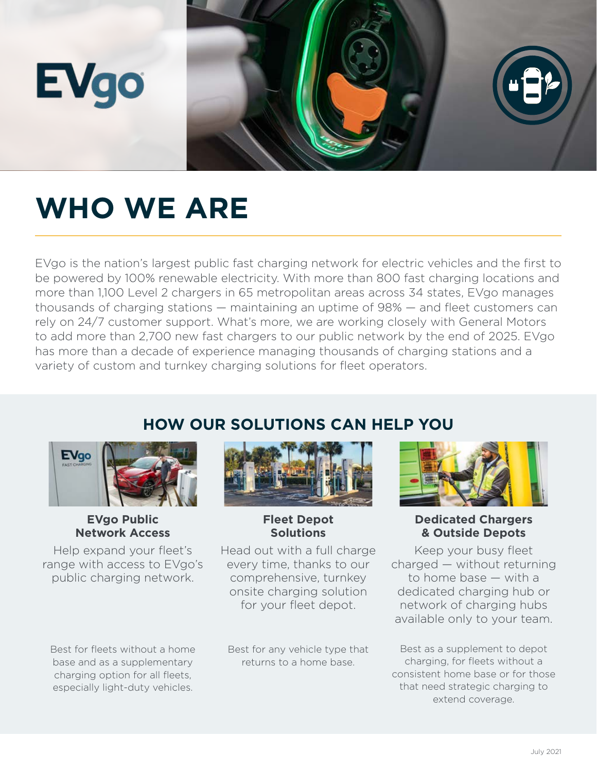

## **WHO WE ARE**

EVgo is the nation's largest public fast charging network for electric vehicles and the first to be powered by 100% renewable electricity. With more than 800 fast charging locations and more than 1,100 Level 2 chargers in 65 metropolitan areas across 34 states, EVgo manages thousands of charging stations — maintaining an uptime of 98% — and fleet customers can rely on 24/7 customer support. What's more, we are working closely with General Motors to add more than 2,700 new fast chargers to our public network by the end of 2025. EVgo has more than a decade of experience managing thousands of charging stations and a variety of custom and turnkey charging solutions for fleet operators.

### **HOW OUR SOLUTIONS CAN HELP YOU**



**EVgo Public Network Access**

Help expand your fleet's range with access to EVgo's public charging network.

Best for fleets without a home base and as a supplementary charging option for all fleets, especially light-duty vehicles.



#### **Fleet Depot Solutions**

Head out with a full charge every time, thanks to our comprehensive, turnkey onsite charging solution for your fleet depot.

Best for any vehicle type that returns to a home base.



#### **Dedicated Chargers & Outside Depots**

Keep your busy fleet charged — without returning to home base — with a dedicated charging hub or network of charging hubs available only to your team.

Best as a supplement to depot charging, for fleets without a consistent home base or for those that need strategic charging to extend coverage.